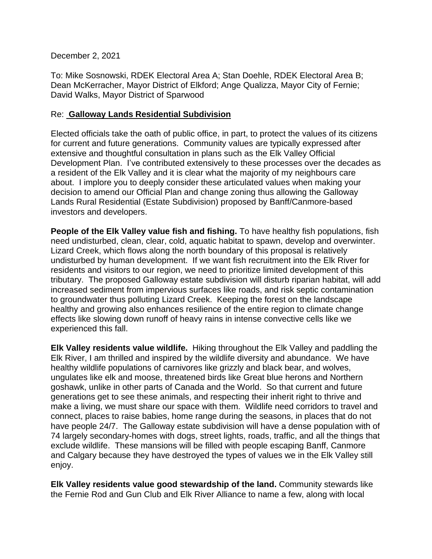December 2, 2021

To: Mike Sosnowski, RDEK Electoral Area A; Stan Doehle, RDEK Electoral Area B; Dean McKerracher, Mayor District of Elkford; Ange Qualizza, Mayor City of Fernie; David Walks, Mayor District of Sparwood

## Re: **Galloway Lands Residential Subdivision**

Elected officials take the oath of public office, in part, to protect the values of its citizens for current and future generations. Community values are typically expressed after extensive and thoughtful consultation in plans such as the Elk Valley Official Development Plan. I've contributed extensively to these processes over the decades as a resident of the Elk Valley and it is clear what the majority of my neighbours care about. I implore you to deeply consider these articulated values when making your decision to amend our Official Plan and change zoning thus allowing the Galloway Lands Rural Residential (Estate Subdivision) proposed by Banff/Canmore-based investors and developers.

**People of the Elk Valley value fish and fishing.** To have healthy fish populations, fish need undisturbed, clean, clear, cold, aquatic habitat to spawn, develop and overwinter. Lizard Creek, which flows along the north boundary of this proposal is relatively undisturbed by human development. If we want fish recruitment into the Elk River for residents and visitors to our region, we need to prioritize limited development of this tributary. The proposed Galloway estate subdivision will disturb riparian habitat, will add increased sediment from impervious surfaces like roads, and risk septic contamination to groundwater thus polluting Lizard Creek. Keeping the forest on the landscape healthy and growing also enhances resilience of the entire region to climate change effects like slowing down runoff of heavy rains in intense convective cells like we experienced this fall.

**Elk Valley residents value wildlife.** Hiking throughout the Elk Valley and paddling the Elk River, I am thrilled and inspired by the wildlife diversity and abundance. We have healthy wildlife populations of carnivores like grizzly and black bear, and wolves, ungulates like elk and moose, threatened birds like Great blue herons and Northern goshawk, unlike in other parts of Canada and the World. So that current and future generations get to see these animals, and respecting their inherit right to thrive and make a living, we must share our space with them. Wildlife need corridors to travel and connect, places to raise babies, home range during the seasons, in places that do not have people 24/7. The Galloway estate subdivision will have a dense population with of 74 largely secondary-homes with dogs, street lights, roads, traffic, and all the things that exclude wildlife. These mansions will be filled with people escaping Banff, Canmore and Calgary because they have destroyed the types of values we in the Elk Valley still enjoy.

**Elk Valley residents value good stewardship of the land.** Community stewards like the Fernie Rod and Gun Club and Elk River Alliance to name a few, along with local